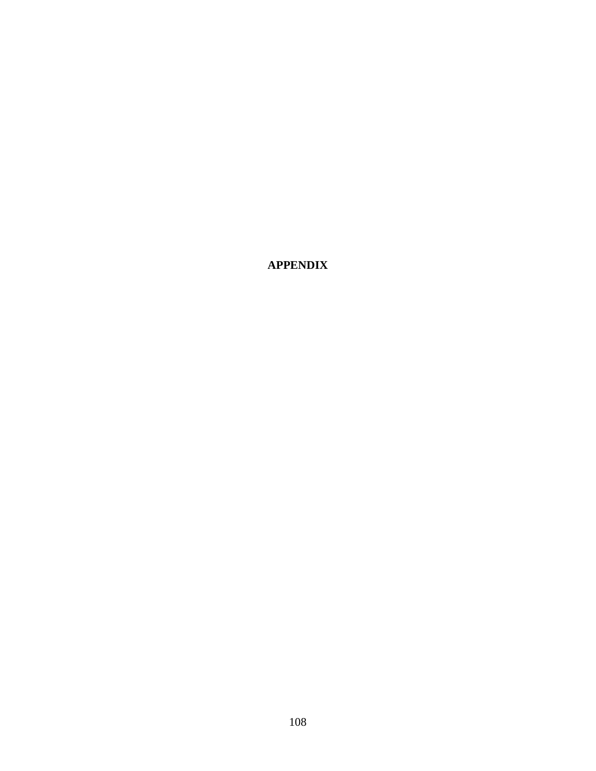**APPENDIX**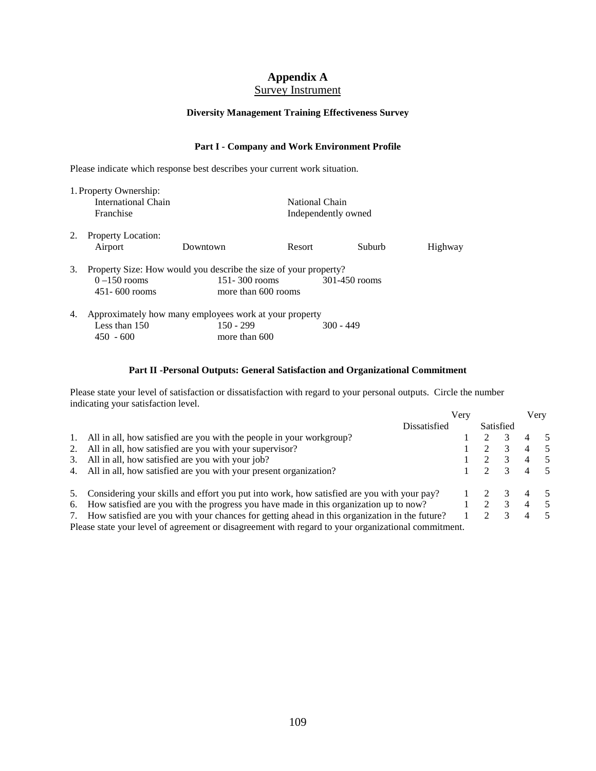# **Appendix A**

## Survey Instrument

## **Diversity Management Training Effectiveness Survey**

### **Part I - Company and Work Environment Profile**

Please indicate which response best describes your current work situation.

|           | 1. Property Ownership:                                           |                                                        |                     |                |         |  |  |  |  |  |  |
|-----------|------------------------------------------------------------------|--------------------------------------------------------|---------------------|----------------|---------|--|--|--|--|--|--|
|           | International Chain                                              |                                                        |                     | National Chain |         |  |  |  |  |  |  |
| Franchise |                                                                  |                                                        | Independently owned |                |         |  |  |  |  |  |  |
| 2.        | <b>Property Location:</b>                                        |                                                        |                     |                |         |  |  |  |  |  |  |
|           | Airport                                                          | Downtown                                               | Resort              | Suburb         | Highway |  |  |  |  |  |  |
| 3.        | Property Size: How would you describe the size of your property? |                                                        |                     |                |         |  |  |  |  |  |  |
|           | $0 - 150$ rooms                                                  | $151 - 300$ rooms                                      |                     | 301-450 rooms  |         |  |  |  |  |  |  |
|           | $451 - 600$ rooms                                                |                                                        | more than 600 rooms |                |         |  |  |  |  |  |  |
| 4.        |                                                                  | Approximately how many employees work at your property |                     |                |         |  |  |  |  |  |  |
|           | Less than $150$                                                  | $150 - 299$                                            |                     | $300 - 449$    |         |  |  |  |  |  |  |
|           | $450 - 600$                                                      | more than 600                                          |                     |                |         |  |  |  |  |  |  |

### **Part II -Personal Outputs: General Satisfaction and Organizational Commitment**

Please state your level of satisfaction or dissatisfaction with regard to your personal outputs. Circle the number indicating your satisfaction level.

|    |                                                                                                     | Verv |             |                         |   | Very |
|----|-----------------------------------------------------------------------------------------------------|------|-------------|-------------------------|---|------|
|    | Dissatisfied                                                                                        |      |             | Satisfied               |   |      |
|    | All in all, how satisfied are you with the people in your workgroup?                                |      |             |                         |   | - 5  |
|    | 2. All in all, how satisfied are you with your supervisor?                                          |      |             |                         |   | - 5  |
| 3. | All in all, how satisfied are you with your job?                                                    |      |             |                         |   | - 5  |
|    | 4. All in all, how satisfied are you with your present organization?                                |      |             |                         |   | - 5  |
|    | Considering your skills and effort you put into work, how satisfied are you with your pay?          |      |             |                         |   | - 5  |
|    | 6. How satisfied are you with the progress you have made in this organization up to now?            |      | $2^{\circ}$ | $\overline{\mathbf{3}}$ |   | - 5  |
|    | 7. How satisfied are you with your chances for getting ahead in this organization in the future?    |      |             |                         | 4 | - 5  |
|    | Please state your level of agreement or disagreement with regard to your organizational commitment. |      |             |                         |   |      |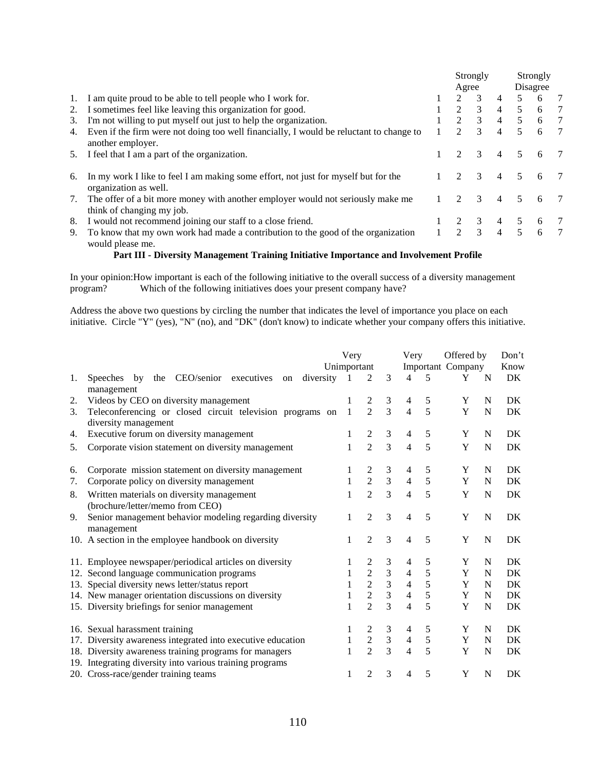|    |                                                                                                              | Agree                       | Strongly      |                | Strongly<br>Disagree |   |   |
|----|--------------------------------------------------------------------------------------------------------------|-----------------------------|---------------|----------------|----------------------|---|---|
| 1. | I am quite proud to be able to tell people who I work for.                                                   | $2^{1}$                     | $\mathcal{E}$ | $\overline{4}$ | 5                    | 6 | 7 |
| 2. | I sometimes feel like leaving this organization for good.                                                    | $\mathcal{L}$               | 3             | $\overline{4}$ | 5                    | 6 | 7 |
| 3. | I'm not willing to put myself out just to help the organization.                                             | $\mathcal{D}_{\mathcal{L}}$ | 3             | $\overline{4}$ | $\mathcal{F}$        | 6 | 7 |
| 4. | Even if the firm were not doing too well financially, I would be reluctant to change to<br>another employer. |                             | $\mathcal{R}$ | $\overline{4}$ | $\mathcal{F}$        | 6 | 7 |
| 5. | I feel that I am a part of the organization.                                                                 |                             | $\mathcal{E}$ | $\overline{4}$ | 5                    | 6 |   |
| 6. | In my work I like to feel I am making some effort, not just for myself but for the<br>organization as well.  |                             | $\mathcal{E}$ | $\overline{4}$ | 5                    | 6 |   |
| 7. | The offer of a bit more money with another employer would not seriously make me<br>think of changing my job. |                             | 3             | $\overline{4}$ | 5.                   | 6 |   |
| 8. | I would not recommend joining our staff to a close friend.                                                   |                             | 3             | 4              |                      | 6 |   |
| 9. | To know that my own work had made a contribution to the good of the organization<br>would please me.         | $\mathcal{D}_{\mathcal{L}}$ | $\mathcal{R}$ | $\overline{4}$ | 5                    | 6 | 7 |

#### **Part III - Diversity Management Training Initiative Importance and Involvement Profile**

In your opinion:How important is each of the following initiative to the overall success of a diversity management program? Which of the following initiatives does your present company have?

Address the above two questions by circling the number that indicates the level of importance you place on each initiative. Circle "Y" (yes), "N" (no), and "DK" (don't know) to indicate whether your company offers this initiative.

|    |                                                                                                                    | Very         |                |                |                | Offered by<br>Very |                   |   | Don't |
|----|--------------------------------------------------------------------------------------------------------------------|--------------|----------------|----------------|----------------|--------------------|-------------------|---|-------|
|    |                                                                                                                    | Unimportant  |                |                |                |                    | Important Company |   | Know  |
| 1. | the CEO/senior executives<br>diversity<br><b>Speeches</b><br>by<br>on<br>management                                | 1            | 2              | 3              | 4              | 5                  | Y                 | N | DK    |
| 2. | Videos by CEO on diversity management                                                                              |              | 2              | 3              | 4              | 5                  | Y                 | N | DK    |
| 3. | Teleconferencing or closed circuit television programs on<br>diversity management                                  | 1            | $\overline{2}$ | $\overline{3}$ | $\overline{4}$ | 5                  | Y                 | N | DK    |
| 4. | Executive forum on diversity management                                                                            |              | $\overline{2}$ | 3              | 4              | 5                  | Y                 | N | DK    |
| 5. | Corporate vision statement on diversity management                                                                 |              | $\overline{2}$ | 3              | $\overline{4}$ | 5                  | Y                 | N | DK    |
| 6. | Corporate mission statement on diversity management                                                                |              | 2              | 3              | 4              | 5                  | Y                 | N | DK    |
| 7. | Corporate policy on diversity management                                                                           | 1            | $\overline{2}$ | 3              | $\overline{4}$ | 5                  | Y                 | N | DK    |
| 8. | Written materials on diversity management<br>(brochure/letter/memo from CEO)                                       | 1            | $\overline{2}$ | 3              | $\overline{4}$ | 5                  | Y                 | N | DK    |
| 9. | Senior management behavior modeling regarding diversity<br>management                                              | 1            | $\overline{2}$ | 3              | $\overline{4}$ | 5                  | Y                 | N | DK    |
|    | 10. A section in the employee handbook on diversity                                                                |              | 2              | 3              | $\overline{4}$ | 5                  | Y                 | N | DK    |
|    | 11. Employee newspaper/periodical articles on diversity                                                            |              | 2              | 3              | 4              | 5                  | Y                 | N | DK    |
|    | 12. Second language communication programs                                                                         |              | $\overline{2}$ | 3              | $\overline{4}$ | 5                  | Y                 | N | DK    |
|    | 13. Special diversity news letter/status report                                                                    |              | $\sqrt{2}$     | $\frac{3}{3}$  | $\overline{4}$ | 5                  | Y                 | N | DK    |
|    | 14. New manager orientation discussions on diversity                                                               |              | $\overline{2}$ |                | $\overline{4}$ | 5                  | Y                 | N | DK    |
|    | 15. Diversity briefings for senior management                                                                      |              | $\overline{2}$ | $\overline{3}$ | $\overline{4}$ | 5                  | Y                 | N | DK    |
|    | 16. Sexual harassment training                                                                                     |              | 2              | 3              | 4              | 5                  | Y                 | N | DK    |
|    | 17. Diversity awareness integrated into executive education                                                        | $\mathbf{1}$ | $\overline{2}$ | $\mathfrak{Z}$ | $\overline{4}$ | $\sqrt{5}$         | Y                 | N | DK    |
|    | 18. Diversity awareness training programs for managers<br>19. Integrating diversity into various training programs |              | $\overline{2}$ | 3              | 4              | 5                  | Y                 | N | DK    |
|    | 20. Cross-race/gender training teams                                                                               | 1            | $\overline{2}$ | 3              | 4              | 5                  | Y                 | N | DK    |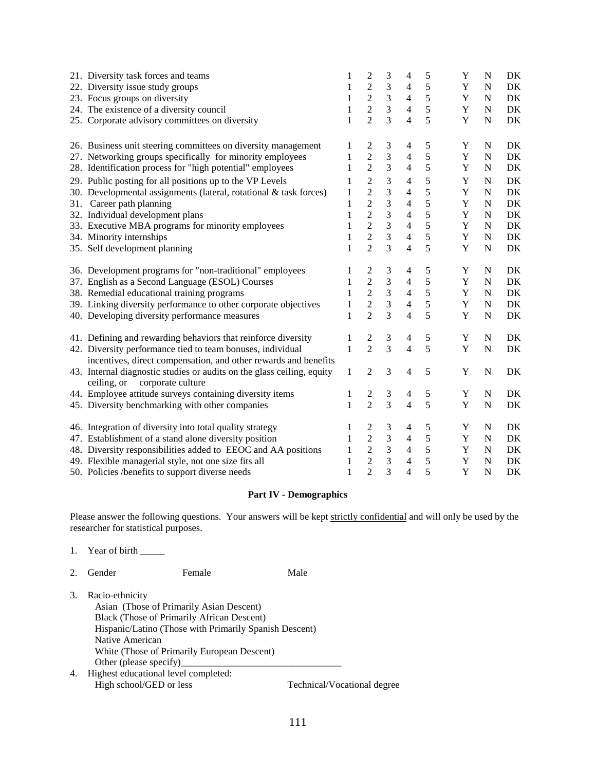| 21. Diversity task forces and teams                                                                     | 1            | 2                       | 3              | 4                        | $\sqrt{5}$    | Y           | N           | DK |
|---------------------------------------------------------------------------------------------------------|--------------|-------------------------|----------------|--------------------------|---------------|-------------|-------------|----|
| 22. Diversity issue study groups                                                                        | 1            | $\overline{c}$          | $\mathfrak{Z}$ | 4                        | 5             | $\mathbf Y$ | N           | DK |
| 23. Focus groups on diversity                                                                           | 1            | $\overline{c}$          | $\mathfrak{Z}$ | $\overline{4}$           | $\sqrt{5}$    | $\mathbf Y$ | $\mathbf N$ | DK |
| 24. The existence of a diversity council                                                                | 1            | $\overline{2}$          | $\overline{3}$ | $\overline{4}$           | 5             | $\mathbf Y$ | $\mathbf N$ | DK |
| 25. Corporate advisory committees on diversity                                                          | 1            | $\overline{c}$          | $\overline{3}$ | $\overline{4}$           | 5             | $\mathbf Y$ | $\mathbf N$ | DK |
| 26. Business unit steering committees on diversity management                                           | 1            | $\overline{c}$          | 3              | 4                        | 5             | Y           | N           | DK |
| 27. Networking groups specifically for minority employees                                               | 1            | $\overline{c}$          | $\overline{3}$ | 4                        | 5             | Y           | $\mathbf N$ | DK |
| 28. Identification process for "high potential" employees                                               | 1            | $\overline{c}$          | 3              | $\overline{4}$           | $\sqrt{5}$    | Y           | N           | DK |
| 29. Public posting for all positions up to the VP Levels                                                | 1            | $\overline{2}$          | 3              | 4                        | 5             | Y           | N           | DK |
| 30. Developmental assignments (lateral, rotational & task forces)                                       | 1            | $\overline{2}$          | 3              | $\overline{\mathcal{A}}$ | 5             | Y           | N           | DK |
| 31. Career path planning                                                                                | $\mathbf{1}$ | $\overline{c}$          | 3              | $\overline{4}$           | 5             | $\mathbf Y$ | $\mathbf N$ | DK |
| 32. Individual development plans                                                                        | $\mathbf{1}$ | $\overline{2}$          | 3              | $\overline{4}$           | 5             | Y           | $\mathbf N$ | DK |
| 33. Executive MBA programs for minority employees                                                       | $\mathbf{1}$ | $\overline{c}$          | 3              | $\overline{4}$           | 5             | $\mathbf Y$ | ${\bf N}$   | DK |
| 34. Minority internships                                                                                | 1            | $\overline{c}$          | 3              | $\overline{4}$           | $\sqrt{5}$    | $\mathbf Y$ | $\mathbf N$ | DK |
| 35. Self development planning                                                                           | 1            | $\overline{2}$          | $\overline{3}$ | $\overline{4}$           | 5             | Y           | $\mathbf N$ | DK |
| 36. Development programs for "non-traditional" employees                                                |              | $\overline{c}$          | 3              | 4                        | $\sqrt{5}$    | Y           | N           | DK |
| 37. English as a Second Language (ESOL) Courses                                                         | 1            | $\overline{c}$          | $\mathfrak{Z}$ | 4                        | 5             | $\mathbf Y$ | $\mathbf N$ | DK |
| 38. Remedial educational training programs                                                              | 1            |                         | $\mathfrak{Z}$ | $\overline{4}$           | $\sqrt{5}$    | $\mathbf Y$ | $\mathbf N$ | DK |
| 39. Linking diversity performance to other corporate objectives                                         | 1            | $\frac{2}{2}$           | $\overline{3}$ | $\overline{4}$           | $\sqrt{5}$    | $\mathbf Y$ | $\mathbf N$ | DK |
| 40. Developing diversity performance measures                                                           | $\mathbf{1}$ | $\overline{2}$          | $\overline{3}$ | $\overline{4}$           | 5             | Y           | $\mathbf N$ | DK |
| 41. Defining and rewarding behaviors that reinforce diversity                                           | 1            | 2                       | 3              | 4                        | $\mathfrak s$ | Y           | N           | DK |
| 42. Diversity performance tied to team bonuses, individual                                              | $\mathbf{1}$ | $\overline{2}$          | $\overline{3}$ | $\overline{4}$           | 5             | Y           | $\mathbf N$ | DK |
| incentives, direct compensation, and other rewards and benefits                                         |              |                         |                |                          |               |             |             |    |
| 43. Internal diagnostic studies or audits on the glass ceiling, equity<br>ceiling, or corporate culture | $\mathbf{1}$ | $\overline{c}$          | 3              | $\overline{4}$           | 5             | Y           | $\mathbf N$ | DK |
| 44. Employee attitude surveys containing diversity items                                                | 1            | $\overline{\mathbf{c}}$ | 3              | 4                        | 5             | Y           | N           | DK |
| 45. Diversity benchmarking with other companies                                                         | 1            | $\overline{2}$          | $\overline{3}$ | 4                        | 5             | Y           | $\mathbf N$ | DK |
| 46. Integration of diversity into total quality strategy                                                | 1            | 2                       | 3              | 4                        | 5             | Y           | N           | DK |
| 47. Establishment of a stand alone diversity position                                                   | 1            | $\overline{c}$          | $\overline{3}$ | 4                        | $\sqrt{5}$    | $\mathbf Y$ | N           | DK |
| 48. Diversity responsibilities added to EEOC and AA positions                                           | $\mathbf{1}$ | $\overline{c}$          | $\mathfrak{Z}$ | $\overline{4}$           | $\sqrt{5}$    | $\mathbf Y$ | N           | DK |
| 49. Flexible managerial style, not one size fits all                                                    | $\mathbf{1}$ | $\overline{c}$          | $\overline{3}$ | $\overline{4}$           | 5             | $\mathbf Y$ | $\mathbf N$ | DK |
| 50. Policies /benefits to support diverse needs                                                         | $\mathbf{1}$ | $\overline{2}$          | $\overline{3}$ | $\overline{\mathcal{L}}$ | 5             | Y           | N           | DK |

#### **Part IV - Demographics**

Please answer the following questions. Your answers will be kept strictly confidential and will only be used by the researcher for statistical purposes.

- 1. Year of birth \_\_\_\_\_\_\_
- 2. Gender Female Male
- 3. Racio-ethnicity Asian (Those of Primarily Asian Descent) Black (Those of Primarily African Descent) Hispanic/Latino (Those with Primarily Spanish Descent) Native American White (Those of Primarily European Descent) Other (please specify)\_ 4. Highest educational level completed:
- High school/GED or less Technical/Vocational degree